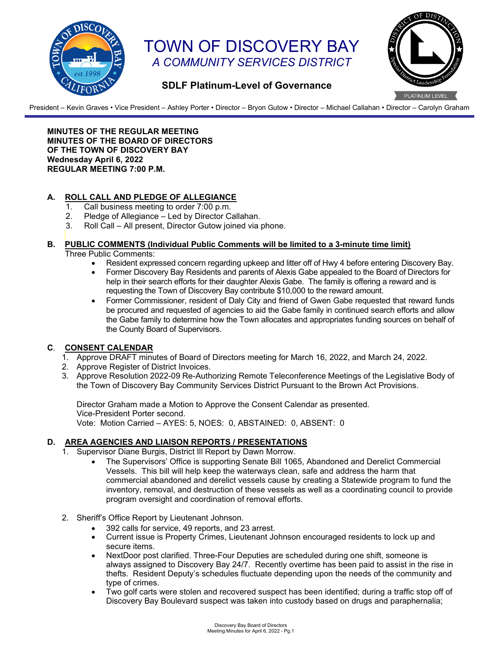

# TOWN OF DISCOVERY BAY *A COMMUNITY SERVICES DISTRICT*



## **SDLF Platinum-Level of Governance**

President – Kevin Graves • Vice President – Ashley Porter • Director – Bryon Gutow • Director – Michael Callahan • Director – Carolyn Graham

**MINUTES OF THE REGULAR MEETING MINUTES OF THE BOARD OF DIRECTORS OF THE TOWN OF DISCOVERY BAY Wednesday April 6, 2022 REGULAR MEETING 7:00 P.M.** 

## **A. ROLL CALL AND PLEDGE OF ALLEGIANCE**

- 1. Call business meeting to order 7:00 p.m.<br>2. Pledge of Allegiance Led by Director C.
- Pledge of Allegiance Led by Director Callahan.
- 3. Roll Call All present, Director Gutow joined via phone.

#### **B. PUBLIC COMMENTS (Individual Public Comments will be limited to a 3-minute time limit)**

- Three Public Comments:
	- Resident expressed concern regarding upkeep and litter off of Hwy 4 before entering Discovery Bay.
		- Former Discovery Bay Residents and parents of Alexis Gabe appealed to the Board of Directors for help in their search efforts for their daughter Alexis Gabe. The family is offering a reward and is requesting the Town of Discovery Bay contribute \$10,000 to the reward amount.
		- Former Commissioner, resident of Daly City and friend of Gwen Gabe requested that reward funds be procured and requested of agencies to aid the Gabe family in continued search efforts and allow the Gabe family to determine how the Town allocates and appropriates funding sources on behalf of the County Board of Supervisors.

#### **C**. **CONSENT CALENDAR**

- 1. Approve DRAFT minutes of Board of Directors meeting for March 16, 2022, and March 24, 2022.
- 2. Approve Register of District Invoices.
- 3. Approve Resolution 2022-09 Re-Authorizing Remote Teleconference Meetings of the Legislative Body of the Town of Discovery Bay Community Services District Pursuant to the Brown Act Provisions.

Director Graham made a Motion to Approve the Consent Calendar as presented. Vice-President Porter second. Vote: Motion Carried – AYES: 5, NOES: 0, ABSTAINED: 0, ABSENT: 0

#### **D. AREA AGENCIES AND LIAISON REPORTS / PRESENTATIONS**

- 1. Supervisor Diane Burgis, District Ill Report by Dawn Morrow.
	- The Supervisors' Office is supporting Senate Bill 1065, Abandoned and Derelict Commercial Vessels. This bill will help keep the waterways clean, safe and address the harm that commercial abandoned and derelict vessels cause by creating a Statewide program to fund the inventory, removal, and destruction of these vessels as well as a coordinating council to provide program oversight and coordination of removal efforts.
- 2. Sheriff's Office Report by Lieutenant Johnson.
	- 392 calls for service, 49 reports, and 23 arrest.
	- Current issue is Property Crimes, Lieutenant Johnson encouraged residents to lock up and secure items.
	- NextDoor post clarified. Three-Four Deputies are scheduled during one shift, someone is always assigned to Discovery Bay 24/7. Recently overtime has been paid to assist in the rise in thefts. Resident Deputy's schedules fluctuate depending upon the needs of the community and type of crimes.
	- Two golf carts were stolen and recovered suspect has been identified; during a traffic stop off of Discovery Bay Boulevard suspect was taken into custody based on drugs and paraphernalia;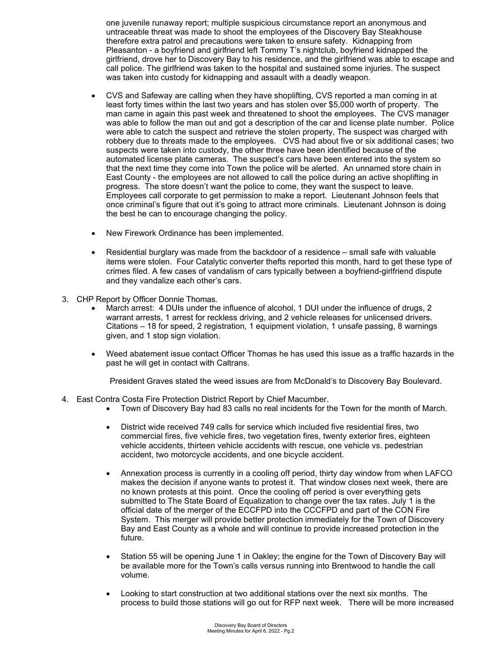one juvenile runaway report; multiple suspicious circumstance report an anonymous and untraceable threat was made to shoot the employees of the Discovery Bay Steakhouse therefore extra patrol and precautions were taken to ensure safety. Kidnapping from Pleasanton - a boyfriend and girlfriend left Tommy T's nightclub, boyfriend kidnapped the girlfriend, drove her to Discovery Bay to his residence, and the girlfriend was able to escape and call police. The girlfriend was taken to the hospital and sustained some injuries. The suspect was taken into custody for kidnapping and assault with a deadly weapon.

- CVS and Safeway are calling when they have shoplifting, CVS reported a man coming in at least forty times within the last two years and has stolen over \$5,000 worth of property. The man came in again this past week and threatened to shoot the employees. The CVS manager was able to follow the man out and got a description of the car and license plate number. Police were able to catch the suspect and retrieve the stolen property, The suspect was charged with robbery due to threats made to the employees. CVS had about five or six additional cases; two suspects were taken into custody, the other three have been identified because of the automated license plate cameras. The suspect's cars have been entered into the system so that the next time they come into Town the police will be alerted. An unnamed store chain in East County - the employees are not allowed to call the police during an active shoplifting in progress. The store doesn't want the police to come, they want the suspect to leave. Employees call corporate to get permission to make a report. Lieutenant Johnson feels that once criminal's figure that out it's going to attract more criminals. Lieutenant Johnson is doing the best he can to encourage changing the policy.
- New Firework Ordinance has been implemented.
- Residential burglary was made from the backdoor of a residence small safe with valuable items were stolen. Four Catalytic converter thefts reported this month, hard to get these type of crimes filed. A few cases of vandalism of cars typically between a boyfriend-girlfriend dispute and they vandalize each other's cars.
- 3. CHP Report by Officer Donnie Thomas.
	- March arrest: 4 DUIs under the influence of alcohol, 1 DUI under the influence of drugs, 2 warrant arrests, 1 arrest for reckless driving, and 2 vehicle releases for unlicensed drivers. Citations – 18 for speed, 2 registration, 1 equipment violation, 1 unsafe passing, 8 warnings given, and 1 stop sign violation.
	- Weed abatement issue contact Officer Thomas he has used this issue as a traffic hazards in the past he will get in contact with Caltrans.

President Graves stated the weed issues are from McDonald's to Discovery Bay Boulevard.

- 4. East Contra Costa Fire Protection District Report by Chief Macumber.
	- Town of Discovery Bay had 83 calls no real incidents for the Town for the month of March.
	- District wide received 749 calls for service which included five residential fires, two commercial fires, five vehicle fires, two vegetation fires, twenty exterior fires, eighteen vehicle accidents, thirteen vehicle accidents with rescue, one vehicle vs. pedestrian accident, two motorcycle accidents, and one bicycle accident.
	- Annexation process is currently in a cooling off period, thirty day window from when LAFCO makes the decision if anyone wants to protest it. That window closes next week, there are no known protests at this point. Once the cooling off period is over everything gets submitted to The State Board of Equalization to change over the tax rates. July 1 is the official date of the merger of the ECCFPD into the CCCFPD and part of the CON Fire System. This merger will provide better protection immediately for the Town of Discovery Bay and East County as a whole and will continue to provide increased protection in the future.
	- Station 55 will be opening June 1 in Oakley; the engine for the Town of Discovery Bay will be available more for the Town's calls versus running into Brentwood to handle the call volume.
	- Looking to start construction at two additional stations over the next six months. The process to build those stations will go out for RFP next week. There will be more increased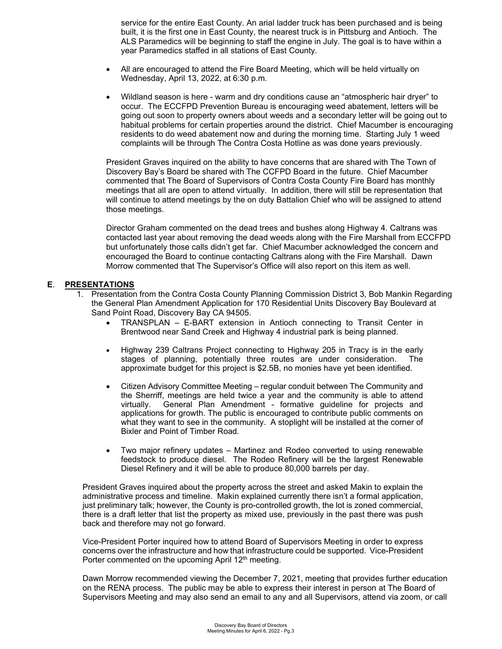service for the entire East County. An arial ladder truck has been purchased and is being built, it is the first one in East County, the nearest truck is in Pittsburg and Antioch. The ALS Paramedics will be beginning to staff the engine in July. The goal is to have within a year Paramedics staffed in all stations of East County.

- All are encouraged to attend the Fire Board Meeting, which will be held virtually on Wednesday, April 13, 2022, at 6:30 p.m.
- Wildland season is here warm and dry conditions cause an "atmospheric hair dryer" to occur. The ECCFPD Prevention Bureau is encouraging weed abatement, letters will be going out soon to property owners about weeds and a secondary letter will be going out to habitual problems for certain properties around the district. Chief Macumber is encouraging residents to do weed abatement now and during the morning time. Starting July 1 weed complaints will be through The Contra Costa Hotline as was done years previously.

President Graves inquired on the ability to have concerns that are shared with The Town of Discovery Bay's Board be shared with The CCFPD Board in the future. Chief Macumber commented that The Board of Supervisors of Contra Costa County Fire Board has monthly meetings that all are open to attend virtually. In addition, there will still be representation that will continue to attend meetings by the on duty Battalion Chief who will be assigned to attend those meetings.

Director Graham commented on the dead trees and bushes along Highway 4. Caltrans was contacted last year about removing the dead weeds along with the Fire Marshall from ECCFPD but unfortunately those calls didn't get far. Chief Macumber acknowledged the concern and encouraged the Board to continue contacting Caltrans along with the Fire Marshall. Dawn Morrow commented that The Supervisor's Office will also report on this item as well.

#### **E**. **PRESENTATIONS**

- 1. Presentation from the Contra Costa County Planning Commission District 3, Bob Mankin Regarding the General Plan Amendment Application for 170 Residential Units Discovery Bay Boulevard at Sand Point Road, Discovery Bay CA 94505.
	- TRANSPLAN E-BART extension in Antioch connecting to Transit Center in Brentwood near Sand Creek and Highway 4 industrial park is being planned.
	- Highway 239 Caltrans Project connecting to Highway 205 in Tracy is in the early stages of planning, potentially three routes are under consideration. The approximate budget for this project is \$2.5B, no monies have yet been identified.
	- Citizen Advisory Committee Meeting regular conduit between The Community and the Sherriff, meetings are held twice a year and the community is able to attend virtually. General Plan Amendment - formative guideline for projects and applications for growth. The public is encouraged to contribute public comments on what they want to see in the community. A stoplight will be installed at the corner of Bixler and Point of Timber Road.
	- Two major refinery updates Martinez and Rodeo converted to using renewable feedstock to produce diesel. The Rodeo Refinery will be the largest Renewable Diesel Refinery and it will be able to produce 80,000 barrels per day.

President Graves inquired about the property across the street and asked Makin to explain the administrative process and timeline. Makin explained currently there isn't a formal application, just preliminary talk; however, the County is pro-controlled growth, the lot is zoned commercial, there is a draft letter that list the property as mixed use, previously in the past there was push back and therefore may not go forward.

Vice-President Porter inquired how to attend Board of Supervisors Meeting in order to express concerns over the infrastructure and how that infrastructure could be supported. Vice-President Porter commented on the upcoming April 12<sup>th</sup> meeting.

Dawn Morrow recommended viewing the December 7, 2021, meeting that provides further education on the RENA process. The public may be able to express their interest in person at The Board of Supervisors Meeting and may also send an email to any and all Supervisors, attend via zoom, or call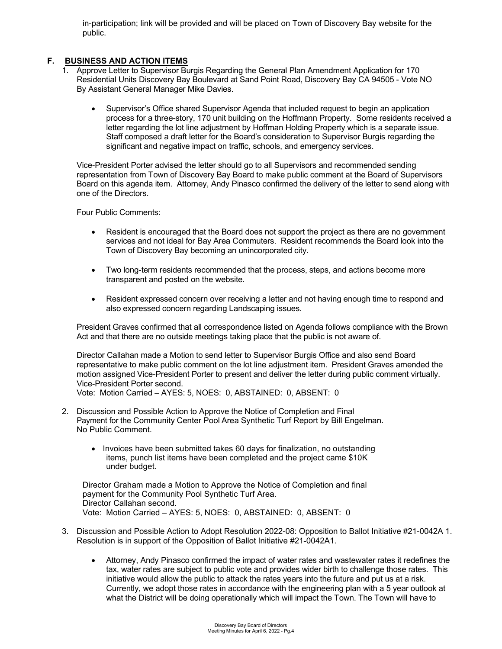in-participation; link will be provided and will be placed on Town of Discovery Bay website for the public.

## **F. BUSINESS AND ACTION ITEMS**

- 1. Approve Letter to Supervisor Burgis Regarding the General Plan Amendment Application for 170 Residential Units Discovery Bay Boulevard at Sand Point Road, Discovery Bay CA 94505 - Vote NO By Assistant General Manager Mike Davies.
	- Supervisor's Office shared Supervisor Agenda that included request to begin an application process for a three-story, 170 unit building on the Hoffmann Property. Some residents received a letter regarding the lot line adjustment by Hoffman Holding Property which is a separate issue. Staff composed a draft letter for the Board's consideration to Supervisor Burgis regarding the significant and negative impact on traffic, schools, and emergency services.

Vice-President Porter advised the letter should go to all Supervisors and recommended sending representation from Town of Discovery Bay Board to make public comment at the Board of Supervisors Board on this agenda item. Attorney, Andy Pinasco confirmed the delivery of the letter to send along with one of the Directors.

Four Public Comments:

- Resident is encouraged that the Board does not support the project as there are no government services and not ideal for Bay Area Commuters. Resident recommends the Board look into the Town of Discovery Bay becoming an unincorporated city.
- Two long-term residents recommended that the process, steps, and actions become more transparent and posted on the website.
- Resident expressed concern over receiving a letter and not having enough time to respond and also expressed concern regarding Landscaping issues.

President Graves confirmed that all correspondence listed on Agenda follows compliance with the Brown Act and that there are no outside meetings taking place that the public is not aware of.

Director Callahan made a Motion to send letter to Supervisor Burgis Office and also send Board representative to make public comment on the lot line adjustment item. President Graves amended the motion assigned Vice-President Porter to present and deliver the letter during public comment virtually. Vice-President Porter second.

Vote: Motion Carried – AYES: 5, NOES: 0, ABSTAINED: 0, ABSENT: 0

- 2. Discussion and Possible Action to Approve the Notice of Completion and Final Payment for the Community Center Pool Area Synthetic Turf Report by Bill Engelman. No Public Comment.
	- Invoices have been submitted takes 60 days for finalization, no outstanding items, punch list items have been completed and the project came \$10K under budget.

Director Graham made a Motion to Approve the Notice of Completion and final payment for the Community Pool Synthetic Turf Area. Director Callahan second. Vote: Motion Carried – AYES: 5, NOES: 0, ABSTAINED: 0, ABSENT: 0

- 3. Discussion and Possible Action to Adopt Resolution 2022-08: Opposition to Ballot Initiative #21-0042A 1. Resolution is in support of the Opposition of Ballot Initiative #21-0042A1.
	- Attorney, Andy Pinasco confirmed the impact of water rates and wastewater rates it redefines the tax, water rates are subject to public vote and provides wider birth to challenge those rates. This initiative would allow the public to attack the rates years into the future and put us at a risk. Currently, we adopt those rates in accordance with the engineering plan with a 5 year outlook at what the District will be doing operationally which will impact the Town. The Town will have to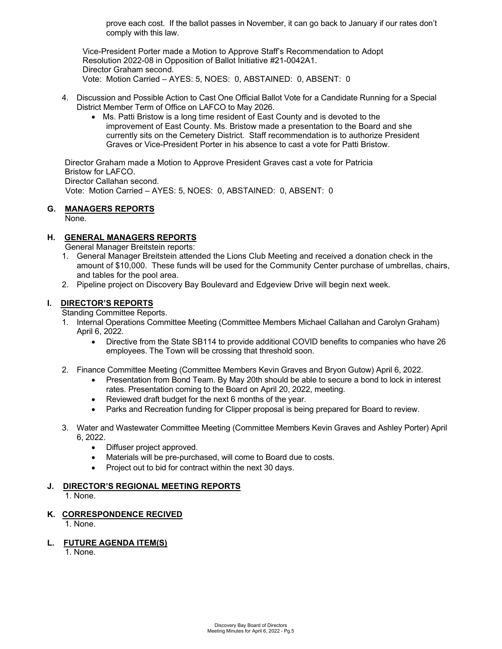prove each cost. If the ballot passes in November, it can go back to January if our rates don't comply with this law.

Vice-President Porter made a Motion to Approve Staff's Recommendation to Adopt Resolution 2022-08 in Opposition of Ballot Initiative #21-0042A1. Director Graham second. Vote: Motion Carried – AYES: 5, NOES: 0, ABSTAINED: 0, ABSENT: 0

- 4. Discussion and Possible Action to Cast One Official Ballot Vote for a Candidate Running for a Special District Member Term of Office on LAFCO to May 2026.
	- Ms. Patti Bristow is a long time resident of East County and is devoted to the improvement of East County. Ms. Bristow made a presentation to the Board and she currently sits on the Cemetery District. Staff recommendation is to authorize President Graves or Vice-President Porter in his absence to cast a vote for Patti Bristow.

Director Graham made a Motion to Approve President Graves cast a vote for Patricia Bristow for LAFCO. Director Callahan second. Vote: Motion Carried – AYES: 5, NOES: 0, ABSTAINED: 0, ABSENT: 0

## **G. MANAGERS REPORTS**

None.

## **H. GENERAL MANAGERS REPORTS**

General Manager Breitstein reports:

- 1. General Manager Breitstein attended the Lions Club Meeting and received a donation check in the amount of \$10,000. These funds will be used for the Community Center purchase of umbrellas, chairs, and tables for the pool area.
- 2. Pipeline project on Discovery Bay Boulevard and Edgeview Drive will begin next week.

## **I. DIRECTOR'S REPORTS**

Standing Committee Reports.

- 1. Internal Operations Committee Meeting (Committee Members Michael Callahan and Carolyn Graham) April 6, 2022.
	- Directive from the State SB114 to provide additional COVID benefits to companies who have 26 employees. The Town will be crossing that threshold soon.
- 2. Finance Committee Meeting (Committee Members Kevin Graves and Bryon Gutow) April 6, 2022.
	- Presentation from Bond Team. By May 20th should be able to secure a bond to lock in interest rates. Presentation coming to the Board on April 20, 2022, meeting.
	- Reviewed draft budget for the next 6 months of the year.
	- Parks and Recreation funding for Clipper proposal is being prepared for Board to review.
- 3. Water and Wastewater Committee Meeting (Committee Members Kevin Graves and Ashley Porter) April 6, 2022.
	- Diffuser project approved.
	- Materials will be pre-purchased, will come to Board due to costs.
	- Project out to bid for contract within the next 30 days.

## **J. DIRECTOR'S REGIONAL MEETING REPORTS**

1. None.

## **K. CORRESPONDENCE RECIVED**

1. None.

## **L. FUTURE AGENDA ITEM(S)**

1. None.